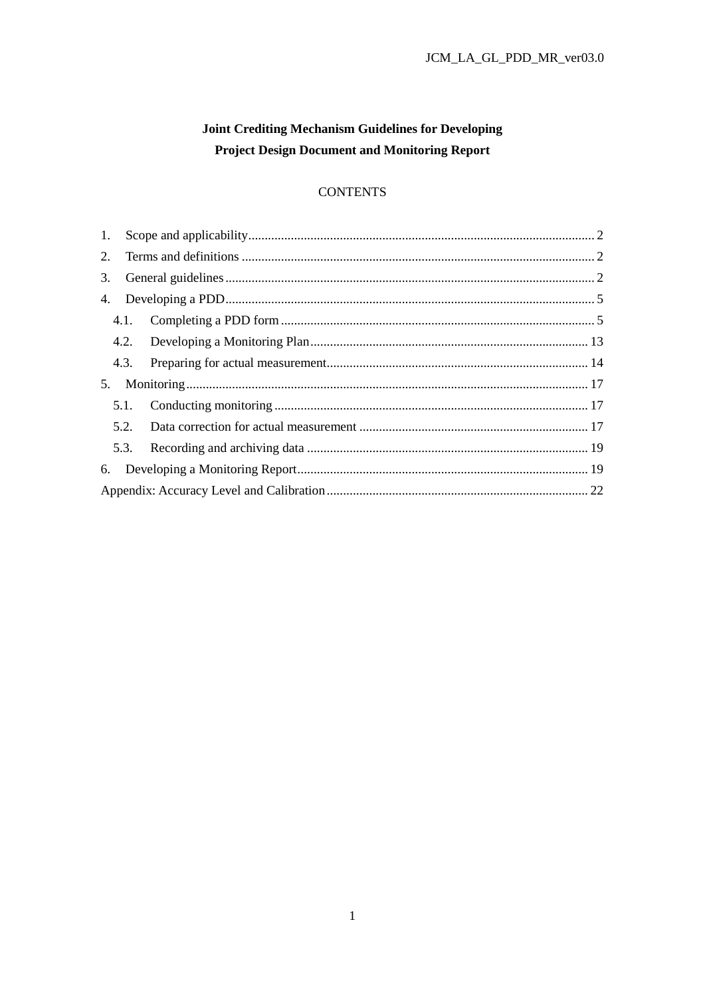# Joint Crediting Mechanism Guidelines for Developing **Project Design Document and Monitoring Report**

# **CONTENTS**

| 2. |    |  |  |  |  |
|----|----|--|--|--|--|
|    | 3. |  |  |  |  |
|    |    |  |  |  |  |
|    |    |  |  |  |  |
|    |    |  |  |  |  |
|    |    |  |  |  |  |
| 5. |    |  |  |  |  |
|    |    |  |  |  |  |
|    |    |  |  |  |  |
|    |    |  |  |  |  |
|    |    |  |  |  |  |
|    |    |  |  |  |  |
|    |    |  |  |  |  |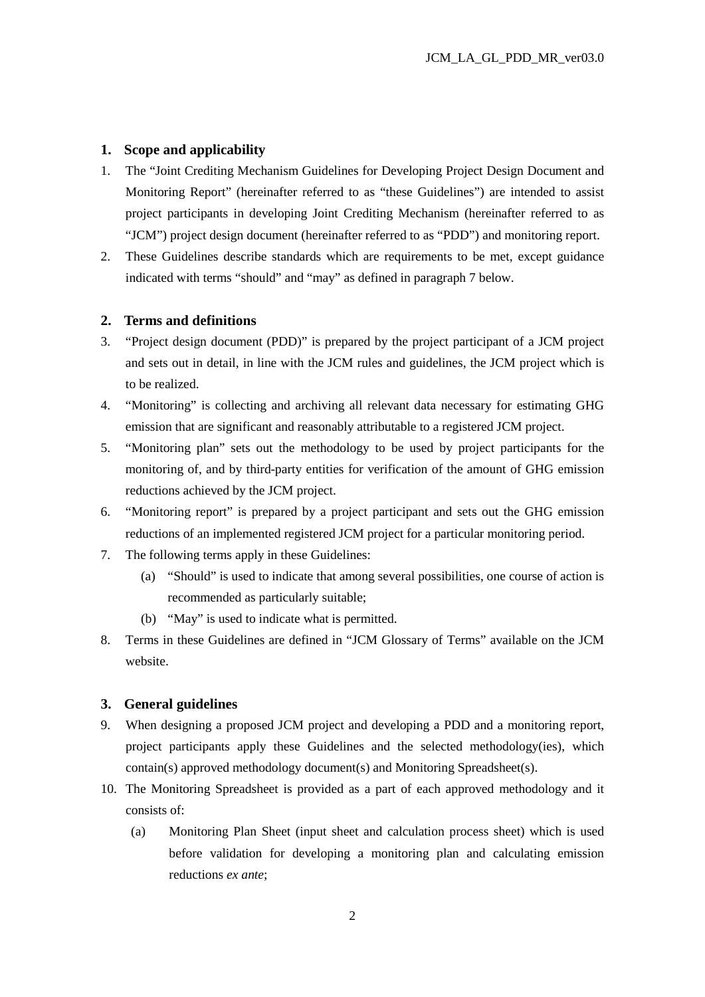## **1. Scope and applicability**

- 1. The "Joint Crediting Mechanism Guidelines for Developing Project Design Document and Monitoring Report" (hereinafter referred to as "these Guidelines") are intended to assist project participants in developing Joint Crediting Mechanism (hereinafter referred to as "JCM") project design document (hereinafter referred to as "PDD") and monitoring report.
- 2. These Guidelines describe standards which are requirements to be met, except guidance indicated with terms "should" and "may" as defined in paragraph 7 below.

#### **2. Terms and definitions**

- 3. "Project design document (PDD)" is prepared by the project participant of a JCM project and sets out in detail, in line with the JCM rules and guidelines, the JCM project which is to be realized.
- 4. "Monitoring" is collecting and archiving all relevant data necessary for estimating GHG emission that are significant and reasonably attributable to a registered JCM project.
- 5. "Monitoring plan" sets out the methodology to be used by project participants for the monitoring of, and by third-party entities for verification of the amount of GHG emission reductions achieved by the JCM project.
- 6. "Monitoring report" is prepared by a project participant and sets out the GHG emission reductions of an implemented registered JCM project for a particular monitoring period.
- 7. The following terms apply in these Guidelines:
	- (a) "Should" is used to indicate that among several possibilities, one course of action is recommended as particularly suitable;
	- (b) "May" is used to indicate what is permitted.
- 8. Terms in these Guidelines are defined in "JCM Glossary of Terms" available on the JCM website.

## **3. General guidelines**

- 9. When designing a proposed JCM project and developing a PDD and a monitoring report, project participants apply these Guidelines and the selected methodology(ies), which contain(s) approved methodology document(s) and Monitoring Spreadsheet(s).
- 10. The Monitoring Spreadsheet is provided as a part of each approved methodology and it consists of:
	- (a) Monitoring Plan Sheet (input sheet and calculation process sheet) which is used before validation for developing a monitoring plan and calculating emission reductions *ex ante*;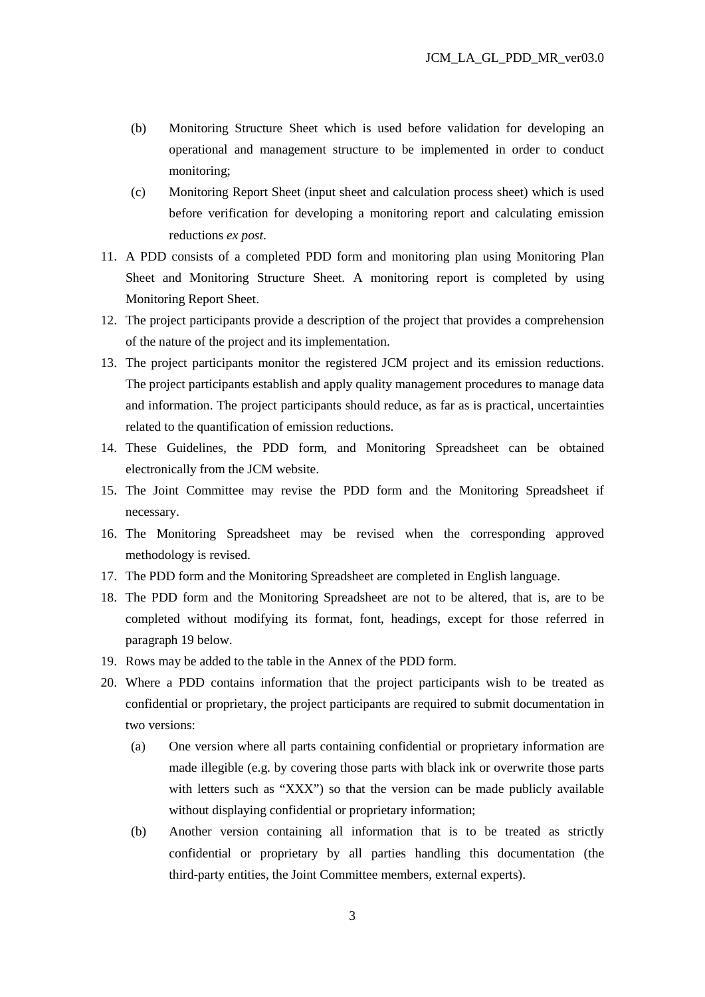- (b) Monitoring Structure Sheet which is used before validation for developing an operational and management structure to be implemented in order to conduct monitoring;
- (c) Monitoring Report Sheet (input sheet and calculation process sheet) which is used before verification for developing a monitoring report and calculating emission reductions *ex post*.
- 11. A PDD consists of a completed PDD form and monitoring plan using Monitoring Plan Sheet and Monitoring Structure Sheet. A monitoring report is completed by using Monitoring Report Sheet.
- 12. The project participants provide a description of the project that provides a comprehension of the nature of the project and its implementation.
- 13. The project participants monitor the registered JCM project and its emission reductions. The project participants establish and apply quality management procedures to manage data and information. The project participants should reduce, as far as is practical, uncertainties related to the quantification of emission reductions.
- 14. These Guidelines, the PDD form, and Monitoring Spreadsheet can be obtained electronically from the JCM website.
- 15. The Joint Committee may revise the PDD form and the Monitoring Spreadsheet if necessary.
- 16. The Monitoring Spreadsheet may be revised when the corresponding approved methodology is revised.
- 17. The PDD form and the Monitoring Spreadsheet are completed in English language.
- 18. The PDD form and the Monitoring Spreadsheet are not to be altered, that is, are to be completed without modifying its format, font, headings, except for those referred in paragraph 19 below.
- 19. Rows may be added to the table in the Annex of the PDD form.
- 20. Where a PDD contains information that the project participants wish to be treated as confidential or proprietary, the project participants are required to submit documentation in two versions:
	- (a) One version where all parts containing confidential or proprietary information are made illegible (e.g. by covering those parts with black ink or overwrite those parts with letters such as "XXX") so that the version can be made publicly available without displaying confidential or proprietary information;
	- (b) Another version containing all information that is to be treated as strictly confidential or proprietary by all parties handling this documentation (the third-party entities, the Joint Committee members, external experts).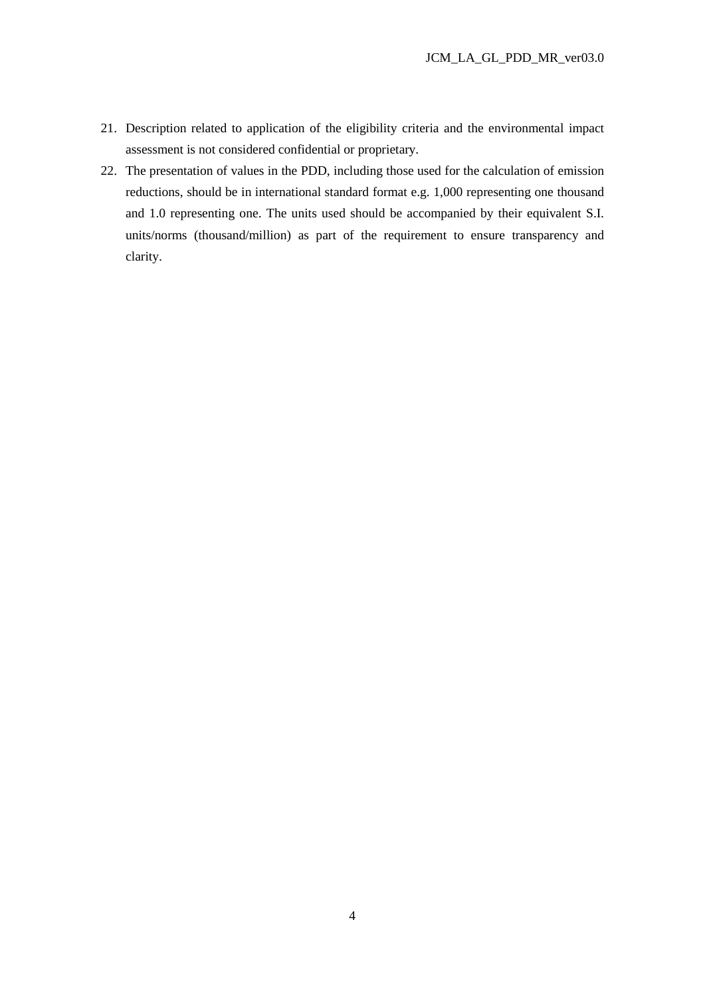- 21. Description related to application of the eligibility criteria and the environmental impact assessment is not considered confidential or proprietary.
- 22. The presentation of values in the PDD, including those used for the calculation of emission reductions, should be in international standard format e.g. 1,000 representing one thousand and 1.0 representing one. The units used should be accompanied by their equivalent S.I. units/norms (thousand/million) as part of the requirement to ensure transparency and clarity.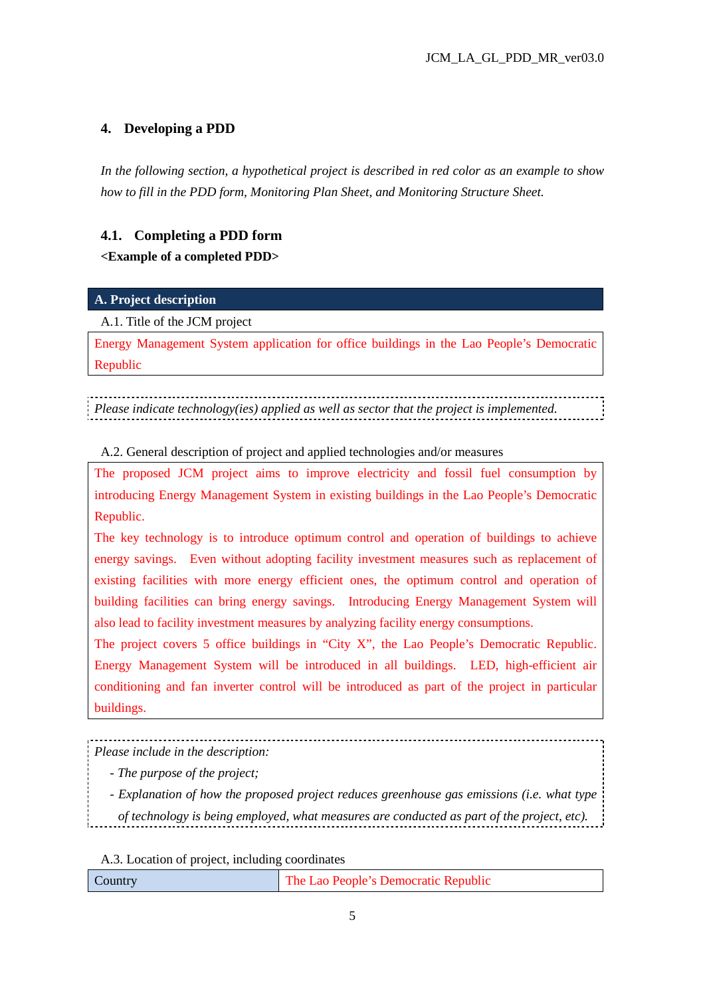# **4. Developing a PDD**

*In the following section, a hypothetical project is described in red color as an example to show how to fill in the PDD form, Monitoring Plan Sheet, and Monitoring Structure Sheet.* 

# **4.1. Completing a PDD form**

# **<Example of a completed PDD>**

# **A. Project description**

# A.1. Title of the JCM project

Energy Management System application for office buildings in the Lao People's Democratic Republic

*Please indicate technology(ies) applied as well as sector that the project is implemented.*

A.2. General description of project and applied technologies and/or measures

The proposed JCM project aims to improve electricity and fossil fuel consumption by introducing Energy Management System in existing buildings in the Lao People's Democratic Republic.

The key technology is to introduce optimum control and operation of buildings to achieve energy savings. Even without adopting facility investment measures such as replacement of existing facilities with more energy efficient ones, the optimum control and operation of building facilities can bring energy savings. Introducing Energy Management System will also lead to facility investment measures by analyzing facility energy consumptions.

The project covers 5 office buildings in "City X", the Lao People's Democratic Republic. Energy Management System will be introduced in all buildings. LED, high-efficient air conditioning and fan inverter control will be introduced as part of the project in particular buildings.

*Please include in the description:* 

*- The purpose of the project;* 

*- Explanation of how the proposed project reduces greenhouse gas emissions (i.e. what type* 

*of technology is being employed, what measures are conducted as part of the project, etc).*

A.3. Location of project, including coordinates

| The Lao People's Democratic Republic<br>$\mathcal{L}$ ountry |
|--------------------------------------------------------------|
|--------------------------------------------------------------|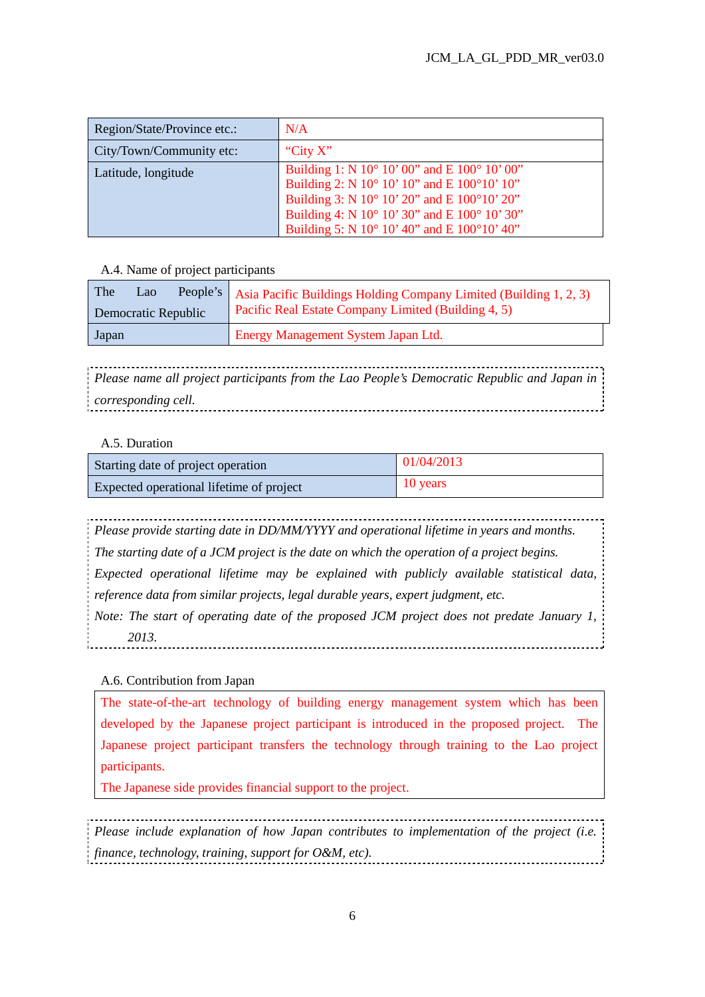| Region/State/Province etc.: | N/A                                                                                                                                                                                                                                                         |
|-----------------------------|-------------------------------------------------------------------------------------------------------------------------------------------------------------------------------------------------------------------------------------------------------------|
| City/Town/Community etc:    | "City $X$ "                                                                                                                                                                                                                                                 |
| Latitude, longitude         | Building 1: N $10^{\circ}$ 10' 00" and E $100^{\circ}$ 10' 00"<br>Building 2: N 10° 10' 10" and E 100°10' 10"<br>Building 3: N 10° 10' 20" and E 100°10' 20"<br>Building 4: N 10° 10' 30" and E 100° 10' 30"<br>Building 5: N 10° 10' 40" and E 100°10' 40" |

#### A.4. Name of project participants

| The<br>Lao<br>Democratic Republic | People's   Asia Pacific Buildings Holding Company Limited (Building 1, 2, 3)<br>Pacific Real Estate Company Limited (Building 4, 5) |  |
|-----------------------------------|-------------------------------------------------------------------------------------------------------------------------------------|--|
| Japan                             | Energy Management System Japan Ltd.                                                                                                 |  |

*Please name all project participants from the Lao People's Democratic Republic and Japan in corresponding cell.* . . . . . . . . . . . . . .

## A.5. Duration

| Starting date of project operation       | 01/04/2013 |
|------------------------------------------|------------|
| Expected operational lifetime of project | 10 years   |

*Please provide starting date in DD/MM/YYYY and operational lifetime in years and months. The starting date of a JCM project is the date on which the operation of a project begins. Expected operational lifetime may be explained with publicly available statistical data, reference data from similar projects, legal durable years, expert judgment, etc. Note: The start of operating date of the proposed JCM project does not predate January 1, 2013.* 

## A.6. Contribution from Japan

The state-of-the-art technology of building energy management system which has been developed by the Japanese project participant is introduced in the proposed project. The Japanese project participant transfers the technology through training to the Lao project participants.

The Japanese side provides financial support to the project.

*Please include explanation of how Japan contributes to implementation of the project (i.e. finance, technology, training, support for O&M, etc).*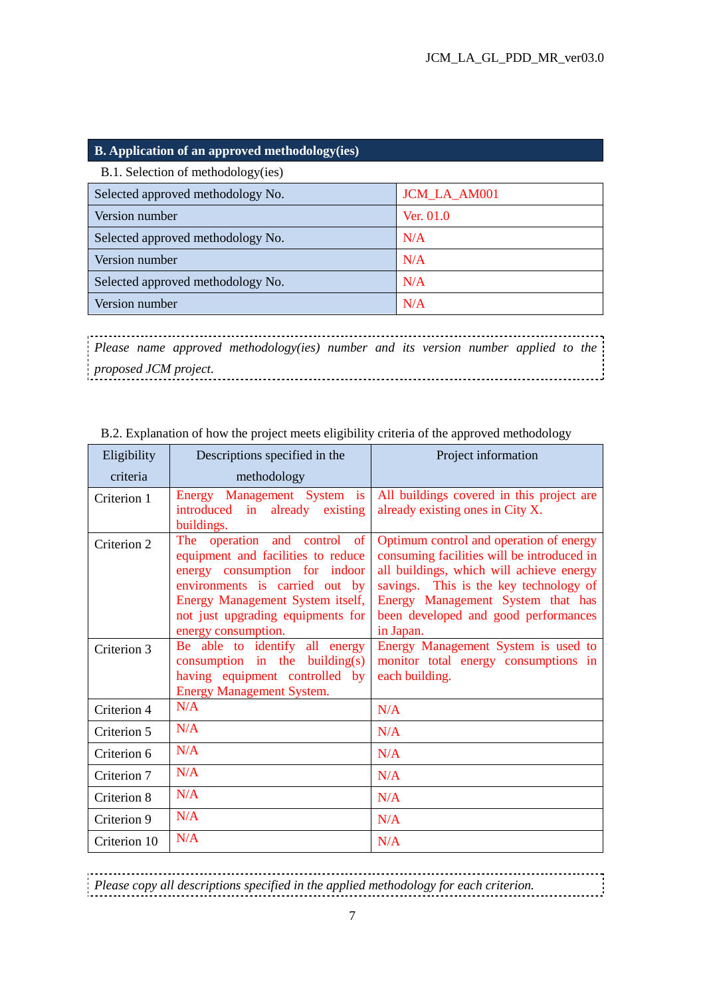#### **B. Application of an approved methodology(ies)**

| B.1. Selection of methodology(ies) |                     |  |  |  |
|------------------------------------|---------------------|--|--|--|
| Selected approved methodology No.  | <b>JCM_LA_AM001</b> |  |  |  |
| Version number                     | Ver. 01.0           |  |  |  |
| Selected approved methodology No.  | N/A                 |  |  |  |
| Version number                     | N/A                 |  |  |  |
| Selected approved methodology No.  | N/A                 |  |  |  |
| Version number                     | N/A                 |  |  |  |

*Please name approved methodology(ies) number and its version number applied to the proposed JCM project.*  ...................................

| Eligibility  | Descriptions specified in the                                                                                                                                                                                                         | Project information                                                                                                                                                                                                                                                   |  |
|--------------|---------------------------------------------------------------------------------------------------------------------------------------------------------------------------------------------------------------------------------------|-----------------------------------------------------------------------------------------------------------------------------------------------------------------------------------------------------------------------------------------------------------------------|--|
| criteria     | methodology                                                                                                                                                                                                                           |                                                                                                                                                                                                                                                                       |  |
| Criterion 1  | Energy Management System is<br>introduced in already existing<br>buildings.                                                                                                                                                           | All buildings covered in this project are<br>already existing ones in City X.                                                                                                                                                                                         |  |
| Criterion 2  | The operation and control of<br>equipment and facilities to reduce<br>energy consumption for indoor<br>environments is carried out by<br>Energy Management System itself,<br>not just upgrading equipments for<br>energy consumption. | Optimum control and operation of energy<br>consuming facilities will be introduced in<br>all buildings, which will achieve energy<br>savings. This is the key technology of<br>Energy Management System that has<br>been developed and good performances<br>in Japan. |  |
| Criterion 3  | Be able to identify all energy<br>consumption in the building $(s)$<br>having equipment controlled by<br><b>Energy Management System.</b>                                                                                             | Energy Management System is used to<br>monitor total energy consumptions in<br>each building.                                                                                                                                                                         |  |
| Criterion 4  | N/A                                                                                                                                                                                                                                   | N/A                                                                                                                                                                                                                                                                   |  |
| Criterion 5  | N/A                                                                                                                                                                                                                                   | N/A                                                                                                                                                                                                                                                                   |  |
| Criterion 6  | N/A                                                                                                                                                                                                                                   | N/A                                                                                                                                                                                                                                                                   |  |
| Criterion 7  | N/A                                                                                                                                                                                                                                   | N/A                                                                                                                                                                                                                                                                   |  |
| Criterion 8  | N/A                                                                                                                                                                                                                                   | N/A                                                                                                                                                                                                                                                                   |  |
| Criterion 9  | N/A                                                                                                                                                                                                                                   | N/A                                                                                                                                                                                                                                                                   |  |
| Criterion 10 | N/A                                                                                                                                                                                                                                   | N/A                                                                                                                                                                                                                                                                   |  |

#### B.2. Explanation of how the project meets eligibility criteria of the approved methodology

----------------------------------*Please copy all descriptions specified in the applied methodology for each criterion.*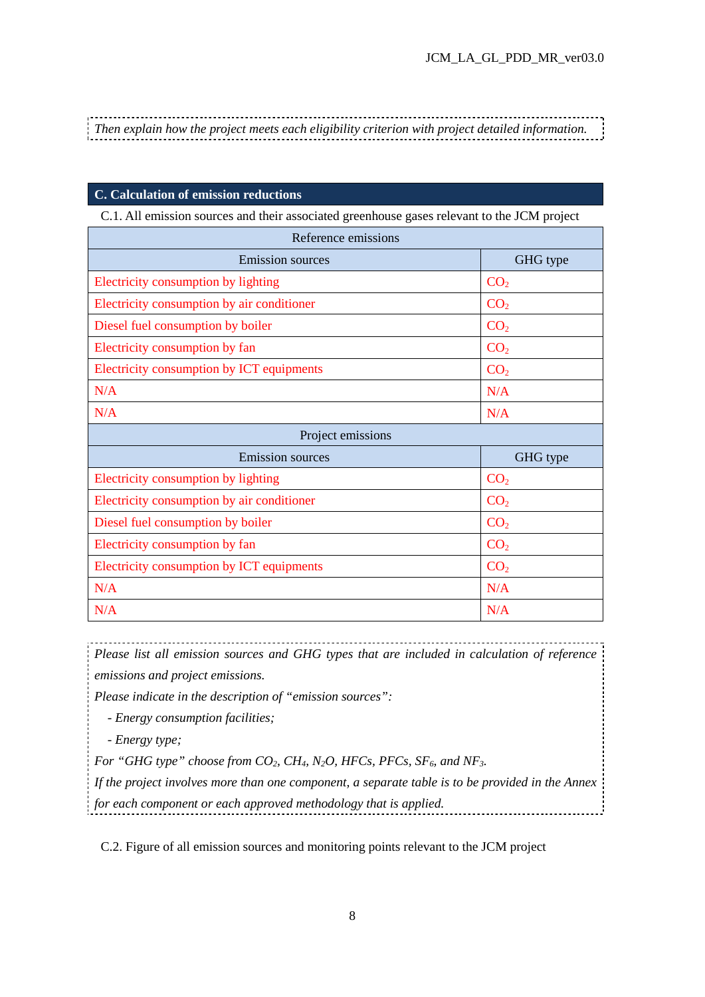-------------------*Then explain how the project meets each eligibility criterion with project detailed information.* 

#### **C. Calculation of emission reductions**

C.1. All emission sources and their associated greenhouse gases relevant to the JCM project

| <b>Emission sources</b>                    | GHG type        |  |  |  |
|--------------------------------------------|-----------------|--|--|--|
| Electricity consumption by lighting        | CO <sub>2</sub> |  |  |  |
| Electricity consumption by air conditioner | CO <sub>2</sub> |  |  |  |
| Diesel fuel consumption by boiler          | CO <sub>2</sub> |  |  |  |
| Electricity consumption by fan             | CO <sub>2</sub> |  |  |  |
| Electricity consumption by ICT equipments  | CO <sub>2</sub> |  |  |  |
| N/A                                        | N/A             |  |  |  |
| N/A                                        | N/A             |  |  |  |
| Project emissions                          |                 |  |  |  |
| <b>Emission sources</b>                    | GHG type        |  |  |  |
| Electricity consumption by lighting        | CO <sub>2</sub> |  |  |  |
|                                            |                 |  |  |  |
| Electricity consumption by air conditioner | CO <sub>2</sub> |  |  |  |
| Diesel fuel consumption by boiler          | CO <sub>2</sub> |  |  |  |
| Electricity consumption by fan             | CO <sub>2</sub> |  |  |  |
| Electricity consumption by ICT equipments  | CO <sub>2</sub> |  |  |  |
| N/A                                        | N/A             |  |  |  |

*Please list all emission sources and GHG types that are included in calculation of reference emissions and project emissions.* 

*Please indicate in the description of "emission sources":* 

*- Energy consumption facilities;* 

*- Energy type;* 

*For "GHG type" choose from CO2, CH4, N2O, HFCs, PFCs, SF6, and NF3.* 

*If the project involves more than one component, a separate table is to be provided in the Annex for each component or each approved methodology that is applied.* 

C.2. Figure of all emission sources and monitoring points relevant to the JCM project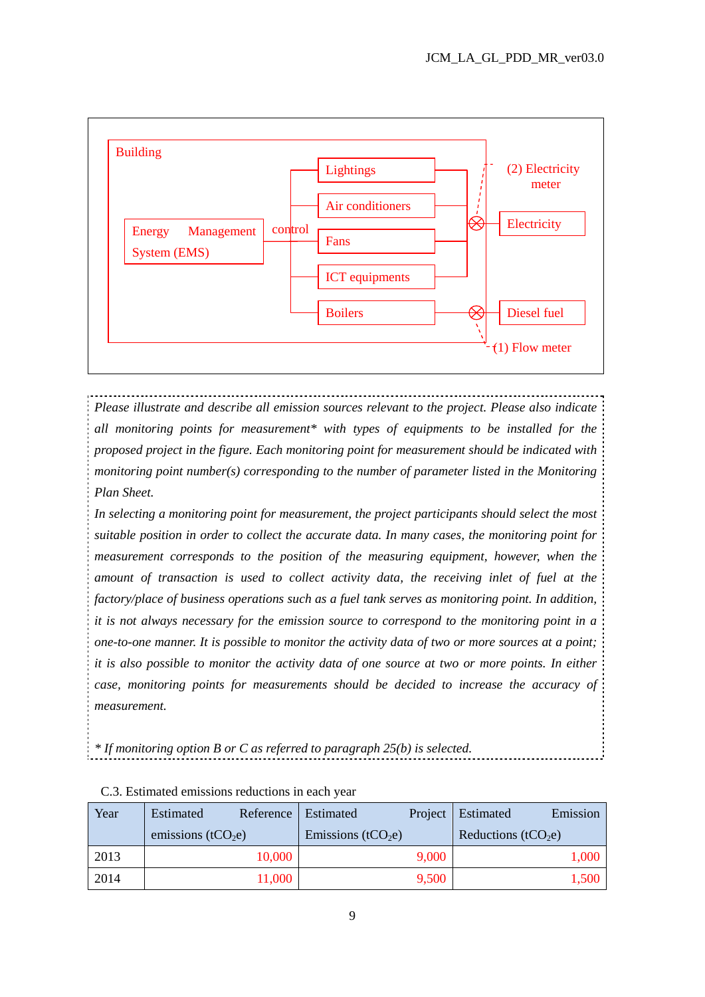

*Please illustrate and describe all emission sources relevant to the project. Please also indicate all monitoring points for measurement\* with types of equipments to be installed for the proposed project in the figure. Each monitoring point for measurement should be indicated with monitoring point number(s) corresponding to the number of parameter listed in the Monitoring Plan Sheet.* 

*In selecting a monitoring point for measurement, the project participants should select the most suitable position in order to collect the accurate data. In many cases, the monitoring point for measurement corresponds to the position of the measuring equipment, however, when the amount of transaction is used to collect activity data, the receiving inlet of fuel at the factory/place of business operations such as a fuel tank serves as monitoring point. In addition, it is not always necessary for the emission source to correspond to the monitoring point in a one-to-one manner. It is possible to monitor the activity data of two or more sources at a point; it is also possible to monitor the activity data of one source at two or more points. In either case, monitoring points for measurements should be decided to increase the accuracy of measurement.* 

*\* If monitoring option B or C as referred to paragraph 25(b) is selected.*

| Year | Estimated             | Reference   Estimated          | Emission<br>Project   Estimated |
|------|-----------------------|--------------------------------|---------------------------------|
|      | emissions ( $tCO2e$ ) | Emissions (tCO <sub>2</sub> e) | Reductions (tCO <sub>2</sub> e) |
| 2013 | 10,000                | 9,000                          | 1,000                           |
| 2014 | 11,000                | 9,500                          | 1,500                           |

|  | C.3. Estimated emissions reductions in each year |  |
|--|--------------------------------------------------|--|
|  |                                                  |  |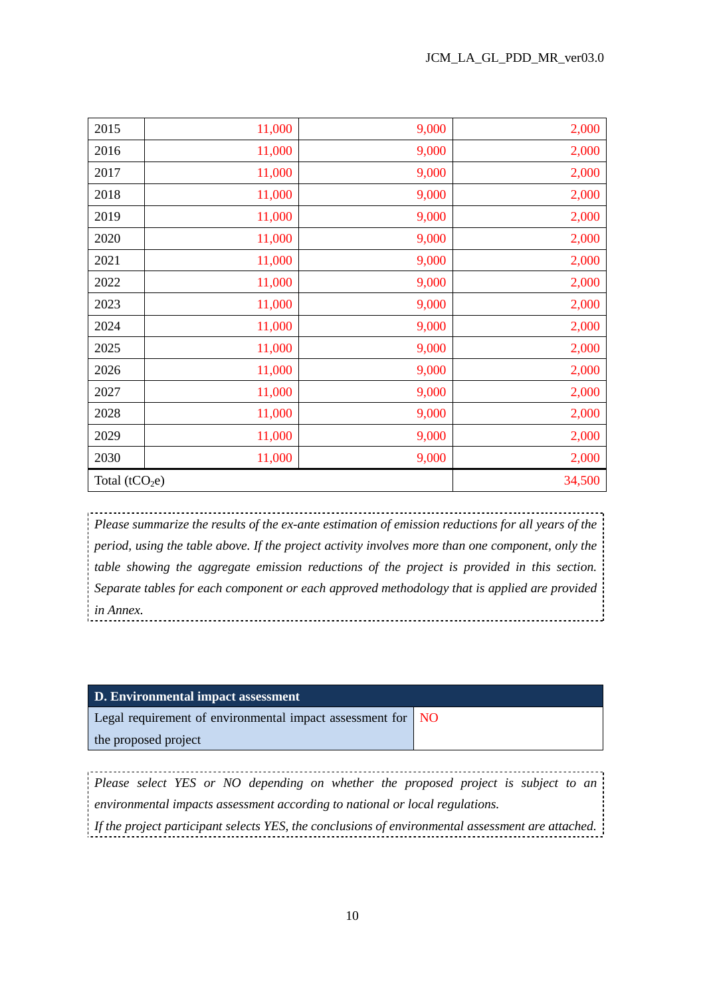| 2015            | 11,000 | 9,000 | 2,000  |
|-----------------|--------|-------|--------|
| 2016            | 11,000 | 9,000 | 2,000  |
| 2017            | 11,000 | 9,000 | 2,000  |
| 2018            | 11,000 | 9,000 | 2,000  |
| 2019            | 11,000 | 9,000 | 2,000  |
| 2020            | 11,000 | 9,000 | 2,000  |
| 2021            | 11,000 | 9,000 | 2,000  |
| 2022            | 11,000 | 9,000 | 2,000  |
| 2023            | 11,000 | 9,000 | 2,000  |
| 2024            | 11,000 | 9,000 | 2,000  |
| 2025            | 11,000 | 9,000 | 2,000  |
| 2026            | 11,000 | 9,000 | 2,000  |
| 2027            | 11,000 | 9,000 | 2,000  |
| 2028            | 11,000 | 9,000 | 2,000  |
| 2029            | 11,000 | 9,000 | 2,000  |
| 2030            | 11,000 | 9,000 | 2,000  |
| Total $(tCO2e)$ |        |       | 34,500 |

*Please summarize the results of the ex-ante estimation of emission reductions for all years of the period, using the table above. If the project activity involves more than one component, only the table showing the aggregate emission reductions of the project is provided in this section. Separate tables for each component or each approved methodology that is applied are provided in Annex.* 

| D. Environmental impact assessment |  |
|------------------------------------|--|
|                                    |  |

Legal requirement of environmental impact assessment for the proposed project NO

*Please select YES or NO depending on whether the proposed project is subject to an environmental impacts assessment according to national or local regulations. If the project participant selects YES, the conclusions of environmental assessment are attached.*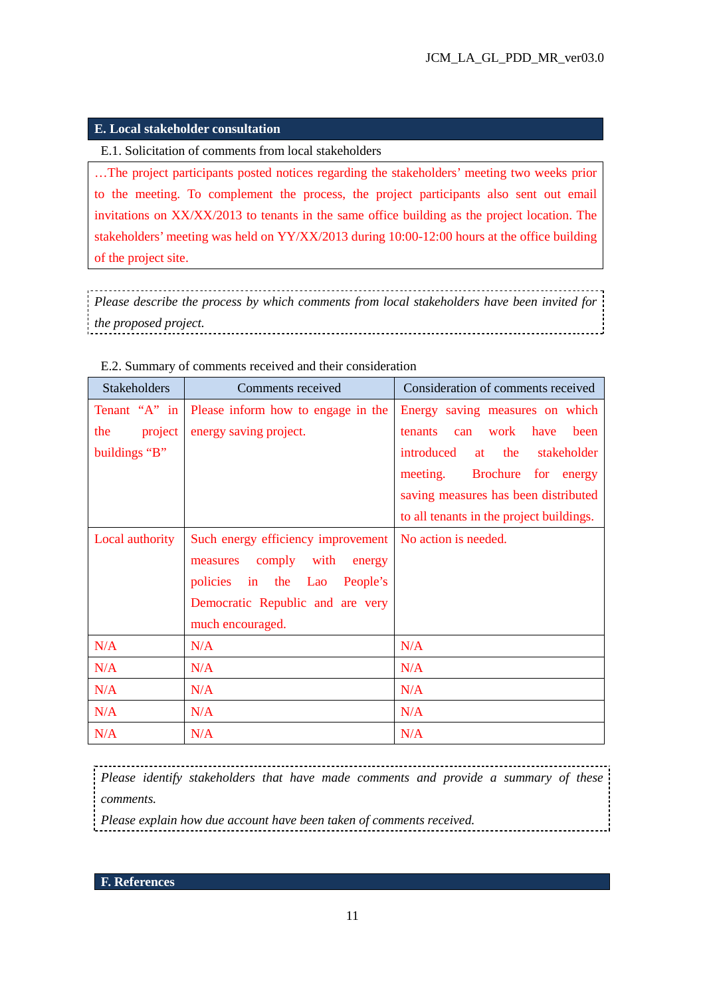## **E. Local stakeholder consultation**

E.1. Solicitation of comments from local stakeholders

…The project participants posted notices regarding the stakeholders' meeting two weeks prior to the meeting. To complement the process, the project participants also sent out email invitations on XX/XX/2013 to tenants in the same office building as the project location. The stakeholders' meeting was held on YY/XX/2013 during 10:00-12:00 hours at the office building of the project site.

*Please describe the process by which comments from local stakeholders have been invited for the proposed project.* 

| <b>Stakeholders</b> | Comments received                  | Consideration of comments received         |
|---------------------|------------------------------------|--------------------------------------------|
| Tenant " $A$ " in   | Please inform how to engage in the | Energy saving measures on which            |
| project  <br>the    | energy saving project.             | work have<br>been<br><b>tenants</b><br>can |
| buildings "B"       |                                    | introduced<br>the<br>stakeholder<br>at     |
|                     |                                    | meeting. Brochure for energy               |
|                     |                                    | saving measures has been distributed       |
|                     |                                    | to all tenants in the project buildings.   |
| Local authority     | Such energy efficiency improvement | No action is needed.                       |
|                     | comply with<br>measures<br>energy  |                                            |
|                     | policies in the Lao<br>People's    |                                            |
|                     | Democratic Republic and are very   |                                            |
|                     | much encouraged.                   |                                            |
| N/A                 | N/A                                | N/A                                        |
| N/A                 | N/A                                | N/A                                        |
| N/A                 | N/A                                | N/A                                        |
| N/A                 | N/A                                | N/A                                        |
| N/A                 | N/A                                | N/A                                        |

E.2. Summary of comments received and their consideration

*Please identify stakeholders that have made comments and provide a summary of these comments.* 

*Please explain how due account have been taken of comments received.* 

**F. References**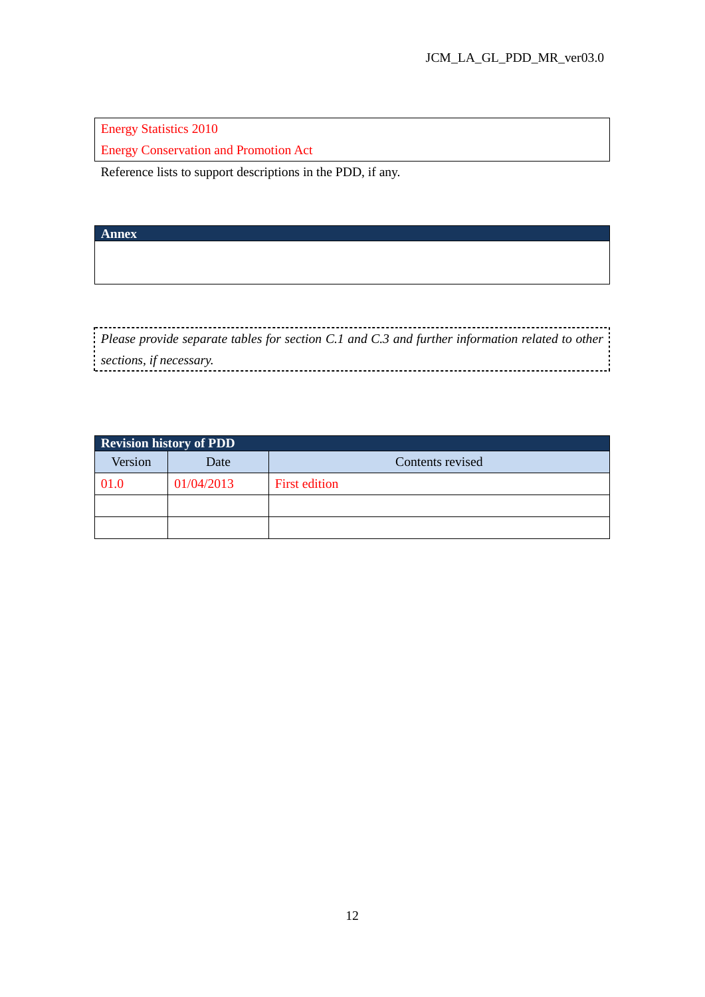Energy Statistics 2010

Energy Conservation and Promotion Act

Reference lists to support descriptions in the PDD, if any.

**Annex** 

*Please provide separate tables for section C.1 and C.3 and further information related to other sections, if necessary.*  

| <b>Revision history of PDD</b> |            |                      |  |  |  |  |  |
|--------------------------------|------------|----------------------|--|--|--|--|--|
| Version                        | Date       | Contents revised     |  |  |  |  |  |
| 01.0                           | 01/04/2013 | <b>First edition</b> |  |  |  |  |  |
|                                |            |                      |  |  |  |  |  |
|                                |            |                      |  |  |  |  |  |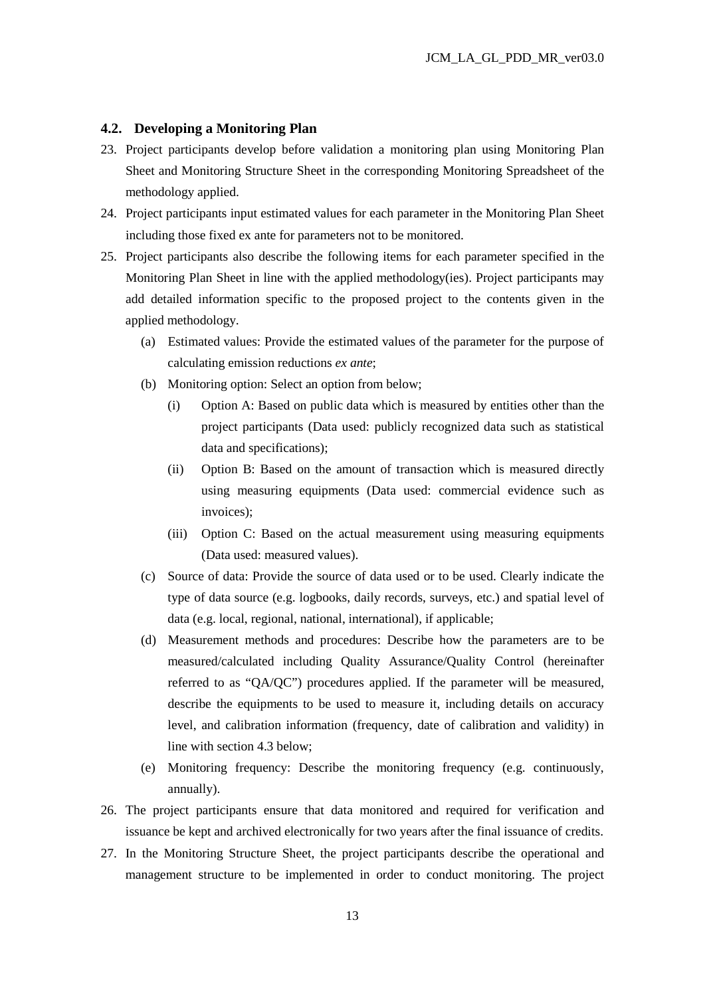#### **4.2. Developing a Monitoring Plan**

- 23. Project participants develop before validation a monitoring plan using Monitoring Plan Sheet and Monitoring Structure Sheet in the corresponding Monitoring Spreadsheet of the methodology applied.
- 24. Project participants input estimated values for each parameter in the Monitoring Plan Sheet including those fixed ex ante for parameters not to be monitored.
- 25. Project participants also describe the following items for each parameter specified in the Monitoring Plan Sheet in line with the applied methodology(ies). Project participants may add detailed information specific to the proposed project to the contents given in the applied methodology.
	- (a) Estimated values: Provide the estimated values of the parameter for the purpose of calculating emission reductions *ex ante*;
	- (b) Monitoring option: Select an option from below;
		- (i) Option A: Based on public data which is measured by entities other than the project participants (Data used: publicly recognized data such as statistical data and specifications);
		- (ii) Option B: Based on the amount of transaction which is measured directly using measuring equipments (Data used: commercial evidence such as invoices);
		- (iii) Option C: Based on the actual measurement using measuring equipments (Data used: measured values).
	- (c) Source of data: Provide the source of data used or to be used. Clearly indicate the type of data source (e.g. logbooks, daily records, surveys, etc.) and spatial level of data (e.g. local, regional, national, international), if applicable;
	- (d) Measurement methods and procedures: Describe how the parameters are to be measured/calculated including Quality Assurance/Quality Control (hereinafter referred to as "QA/QC") procedures applied. If the parameter will be measured, describe the equipments to be used to measure it, including details on accuracy level, and calibration information (frequency, date of calibration and validity) in line with section 4.3 below;
	- (e) Monitoring frequency: Describe the monitoring frequency (e.g. continuously, annually).
- 26. The project participants ensure that data monitored and required for verification and issuance be kept and archived electronically for two years after the final issuance of credits.
- 27. In the Monitoring Structure Sheet, the project participants describe the operational and management structure to be implemented in order to conduct monitoring. The project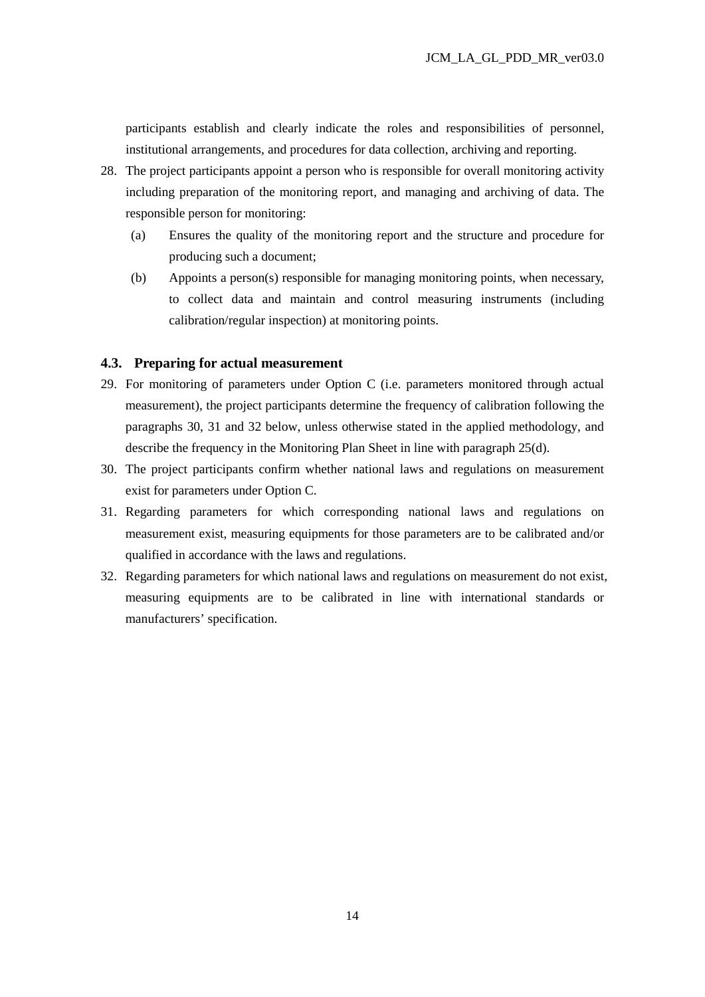participants establish and clearly indicate the roles and responsibilities of personnel, institutional arrangements, and procedures for data collection, archiving and reporting.

- 28. The project participants appoint a person who is responsible for overall monitoring activity including preparation of the monitoring report, and managing and archiving of data. The responsible person for monitoring:
	- (a) Ensures the quality of the monitoring report and the structure and procedure for producing such a document;
	- (b) Appoints a person(s) responsible for managing monitoring points, when necessary, to collect data and maintain and control measuring instruments (including calibration/regular inspection) at monitoring points.

#### **4.3. Preparing for actual measurement**

- 29. For monitoring of parameters under Option C (i.e. parameters monitored through actual measurement), the project participants determine the frequency of calibration following the paragraphs 30, 31 and 32 below, unless otherwise stated in the applied methodology, and describe the frequency in the Monitoring Plan Sheet in line with paragraph 25(d).
- 30. The project participants confirm whether national laws and regulations on measurement exist for parameters under Option C.
- 31. Regarding parameters for which corresponding national laws and regulations on measurement exist, measuring equipments for those parameters are to be calibrated and/or qualified in accordance with the laws and regulations.
- 32. Regarding parameters for which national laws and regulations on measurement do not exist, measuring equipments are to be calibrated in line with international standards or manufacturers' specification.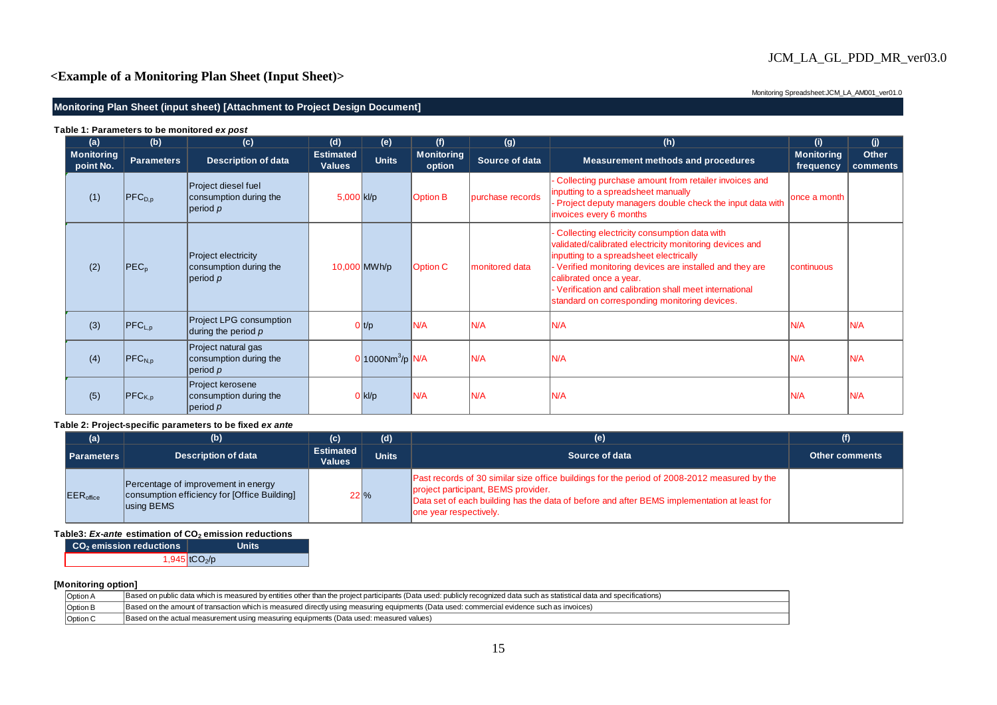# JCM\_LA\_GL\_PDD\_MR\_ver03.0

# **<Example of a Monitoring Plan Sheet (Input Sheet)>**

Monitoring Spreadsheet:JCM\_LA\_AM001\_ver01.0

#### **Monitoring Plan Sheet (input sheet) [Attachment to Project Design Document]**

| (a)                            | (b)                     | (c)                                                                | (d)                               | (e)                             | (f)                         | (g)              | (h)                                                                                                                                                                                                                                                                                                                                                   | (i)                            | (i)               |
|--------------------------------|-------------------------|--------------------------------------------------------------------|-----------------------------------|---------------------------------|-----------------------------|------------------|-------------------------------------------------------------------------------------------------------------------------------------------------------------------------------------------------------------------------------------------------------------------------------------------------------------------------------------------------------|--------------------------------|-------------------|
| <b>Monitoring</b><br>point No. | <b>Parameters</b>       | <b>Description of data</b>                                         | <b>Estimated</b><br><b>Values</b> | <b>Units</b>                    | <b>Monitoring</b><br>option | Source of data   | <b>Measurement methods and procedures</b>                                                                                                                                                                                                                                                                                                             | <b>Monitoring</b><br>frequency | Other<br>comments |
| (1)                            | $ {\sf PFC}_{\sf D.D} $ | Project diesel fuel<br>consumption during the<br>$ $ period $\rho$ | 5,000 kl/p                        |                                 | <b>Option B</b>             | purchase records | Collecting purchase amount from retailer invoices and<br>inputting to a spreadsheet manually<br>- Project deputy managers double check the input data with<br>invoices every 6 months                                                                                                                                                                 | once a month                   |                   |
| (2)                            | PEC <sub>p</sub>        | Project electricity<br>consumption during the<br> period p         |                                   | 10,000 MWh/p                    | <b>Option C</b>             | monitored data   | Collecting electricity consumption data with<br>validated/calibrated electricity monitoring devices and<br>inputting to a spreadsheet electrically<br>- Verified monitoring devices are installed and they are<br>calibrated once a year.<br>- Verification and calibration shall meet international<br>standard on corresponding monitoring devices. | continuous                     |                   |
| (3)                            | $PFC_{L,p}$             | <b>Project LPG consumption</b><br>during the period $p$            |                                   | 0 t/p                           | IN/A                        | N/A              | N/A                                                                                                                                                                                                                                                                                                                                                   | IN/A                           | N/A               |
| (4)                            | $ {\sf PFC}_{\sf N,p} $ | Project natural gas<br>consumption during the<br> period p         |                                   | $0 1000$ Nm <sup>3</sup> /p N/A |                             | N/A              | N/A                                                                                                                                                                                                                                                                                                                                                   | <b>N/A</b>                     | N/A               |
| (5)                            | $PFC_{K,p}$             | Project kerosene<br>consumption during the<br>period p             |                                   | 0 kl/p                          | IN/A                        | N/A              | N/A                                                                                                                                                                                                                                                                                                                                                   | IN/A                           | N/A               |

#### **Table 1: Parameters to be monitored** *ex post*

#### **Table 2: Project-specific parameters to be fixed** *ex ante*

| (a)                   | (b)                                                                                               | (c)                               | (d)          | (e)                                                                                                                                                                                                                                                          | (f)                   |
|-----------------------|---------------------------------------------------------------------------------------------------|-----------------------------------|--------------|--------------------------------------------------------------------------------------------------------------------------------------------------------------------------------------------------------------------------------------------------------------|-----------------------|
| <b>Parameters</b>     | <b>Description of data</b>                                                                        | <b>Estimated</b><br><b>Values</b> | <b>Units</b> | Source of data                                                                                                                                                                                                                                               | <b>Other comments</b> |
| EER <sub>office</sub> | Percentage of improvement in energy<br>consumption efficiency for [Office Building]<br>using BEMS | $22\frac{9}{6}$                   |              | Past records of 30 similar size office buildings for the period of 2008-2012 measured by the<br>project participant, BEMS provider.<br>Data set of each building has the data of before and after BEMS implementation at least for<br>one year respectively. |                       |

#### **Table3:** *Ex-ante* **estimation of CO2 emission reductions**

| CO <sub>2</sub> emission reductions | Units                       |
|-------------------------------------|-----------------------------|
|                                     | $1,945$ tCO <sub>2</sub> /p |

#### **[Monitoring option]**

| Option $A$ | Based on public data which is measured by entities other than the project participants (Data used: publicly recognized data such as statistical data and specifications) |
|------------|--------------------------------------------------------------------------------------------------------------------------------------------------------------------------|
| Option F   | Based on the amount of transaction which is measured directly using measuring equipments (Data used: commercial evidence such as invoices)                               |
| Option C   | (Based on the actual measurement using measuring equipments (Data used: measured values)                                                                                 |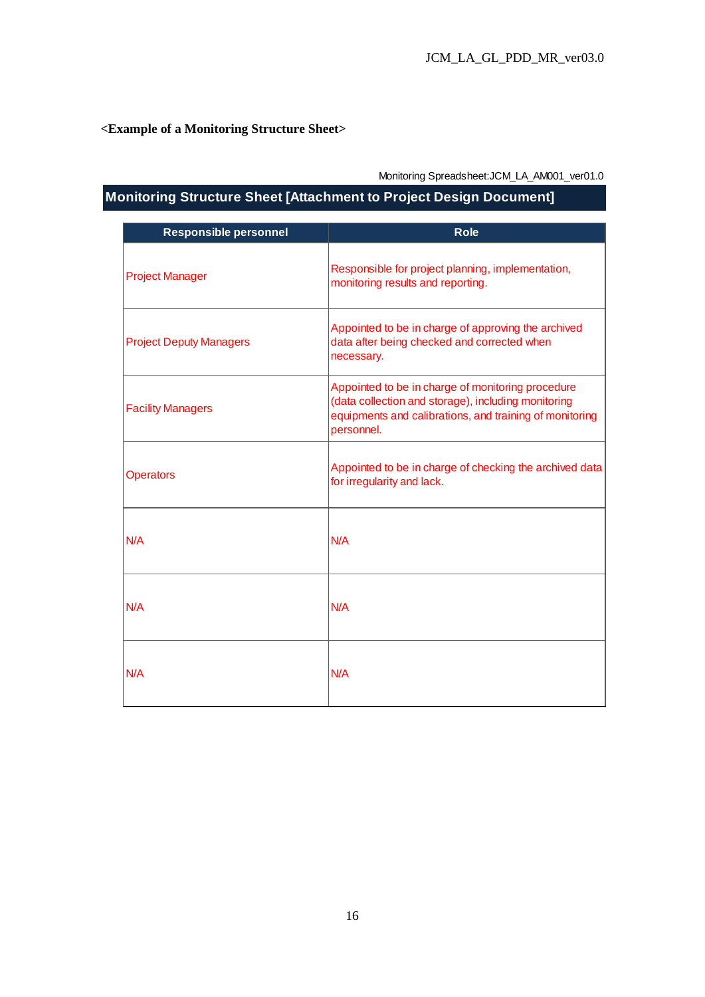# **<Example of a Monitoring Structure Sheet>**

Monitoring Spreadsheet:JCM\_LA\_AM001\_ver01.0

# **Monitoring Structure Sheet [Attachment to Project Design Document]**

| <b>Responsible personnel</b>   | <b>Role</b>                                                                                                                                                                       |
|--------------------------------|-----------------------------------------------------------------------------------------------------------------------------------------------------------------------------------|
| <b>Project Manager</b>         | Responsible for project planning, implementation,<br>monitoring results and reporting.                                                                                            |
| <b>Project Deputy Managers</b> | Appointed to be in charge of approving the archived<br>data after being checked and corrected when<br>necessary.                                                                  |
| <b>Facility Managers</b>       | Appointed to be in charge of monitoring procedure<br>(data collection and storage), including monitoring<br>equipments and calibrations, and training of monitoring<br>personnel. |
| <b>Operators</b>               | Appointed to be in charge of checking the archived data<br>for irregularity and lack.                                                                                             |
| N/A                            | N/A                                                                                                                                                                               |
| N/A                            | N/A                                                                                                                                                                               |
| N/A                            | N/A                                                                                                                                                                               |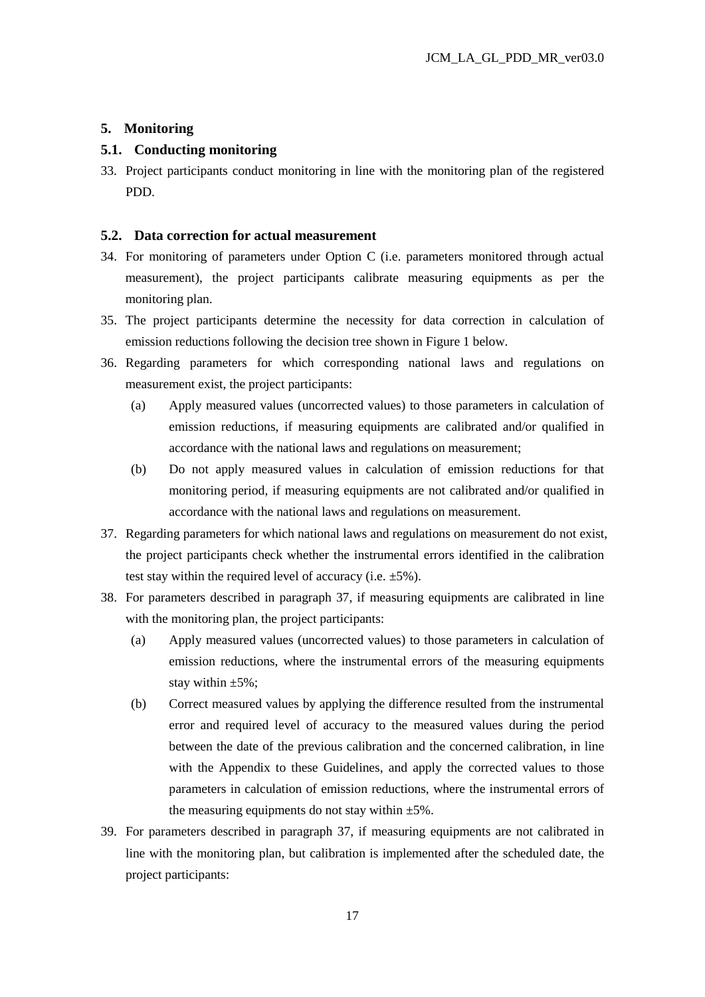#### **5. Monitoring**

## **5.1. Conducting monitoring**

33. Project participants conduct monitoring in line with the monitoring plan of the registered PDD.

#### **5.2. Data correction for actual measurement**

- 34. For monitoring of parameters under Option C (i.e. parameters monitored through actual measurement), the project participants calibrate measuring equipments as per the monitoring plan.
- 35. The project participants determine the necessity for data correction in calculation of emission reductions following the decision tree shown in Figure 1 below.
- 36. Regarding parameters for which corresponding national laws and regulations on measurement exist, the project participants:
	- (a) Apply measured values (uncorrected values) to those parameters in calculation of emission reductions, if measuring equipments are calibrated and/or qualified in accordance with the national laws and regulations on measurement;
	- (b) Do not apply measured values in calculation of emission reductions for that monitoring period, if measuring equipments are not calibrated and/or qualified in accordance with the national laws and regulations on measurement.
- 37. Regarding parameters for which national laws and regulations on measurement do not exist, the project participants check whether the instrumental errors identified in the calibration test stay within the required level of accuracy (i.e. ±5%).
- 38. For parameters described in paragraph 37, if measuring equipments are calibrated in line with the monitoring plan, the project participants:
	- (a) Apply measured values (uncorrected values) to those parameters in calculation of emission reductions, where the instrumental errors of the measuring equipments stay within  $\pm 5\%$ ;
	- (b) Correct measured values by applying the difference resulted from the instrumental error and required level of accuracy to the measured values during the period between the date of the previous calibration and the concerned calibration, in line with the Appendix to these Guidelines, and apply the corrected values to those parameters in calculation of emission reductions, where the instrumental errors of the measuring equipments do not stay within  $\pm 5\%$ .
- 39. For parameters described in paragraph 37, if measuring equipments are not calibrated in line with the monitoring plan, but calibration is implemented after the scheduled date, the project participants: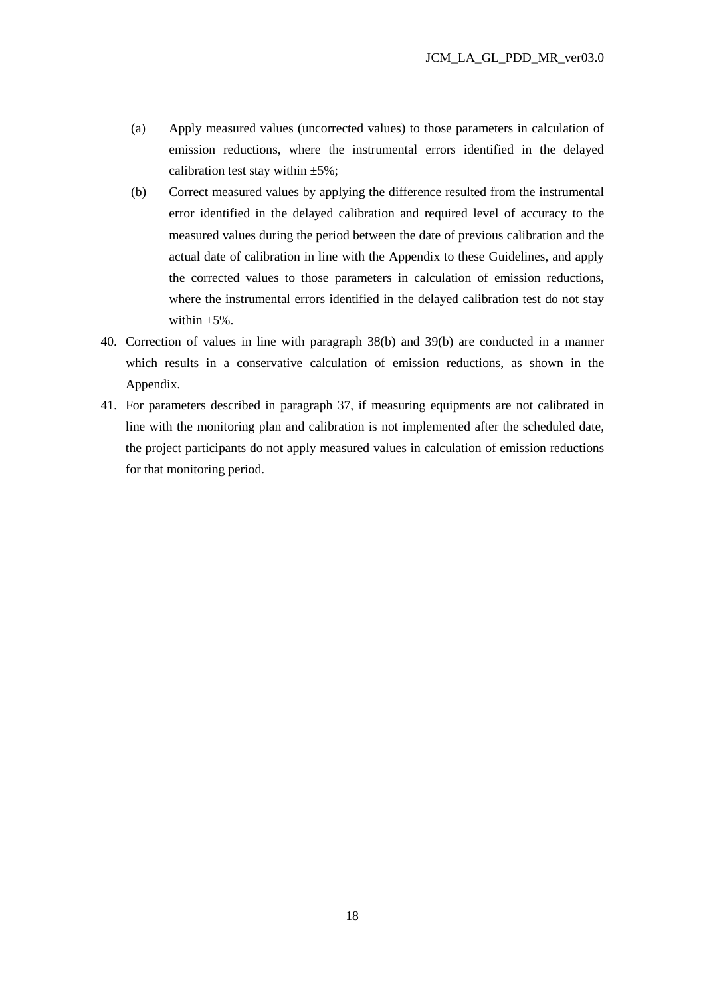- (a) Apply measured values (uncorrected values) to those parameters in calculation of emission reductions, where the instrumental errors identified in the delayed calibration test stay within  $\pm 5\%$ ;
- (b) Correct measured values by applying the difference resulted from the instrumental error identified in the delayed calibration and required level of accuracy to the measured values during the period between the date of previous calibration and the actual date of calibration in line with the Appendix to these Guidelines, and apply the corrected values to those parameters in calculation of emission reductions, where the instrumental errors identified in the delayed calibration test do not stay within  $\pm 5\%$ .
- 40. Correction of values in line with paragraph 38(b) and 39(b) are conducted in a manner which results in a conservative calculation of emission reductions, as shown in the Appendix.
- 41. For parameters described in paragraph 37, if measuring equipments are not calibrated in line with the monitoring plan and calibration is not implemented after the scheduled date, the project participants do not apply measured values in calculation of emission reductions for that monitoring period.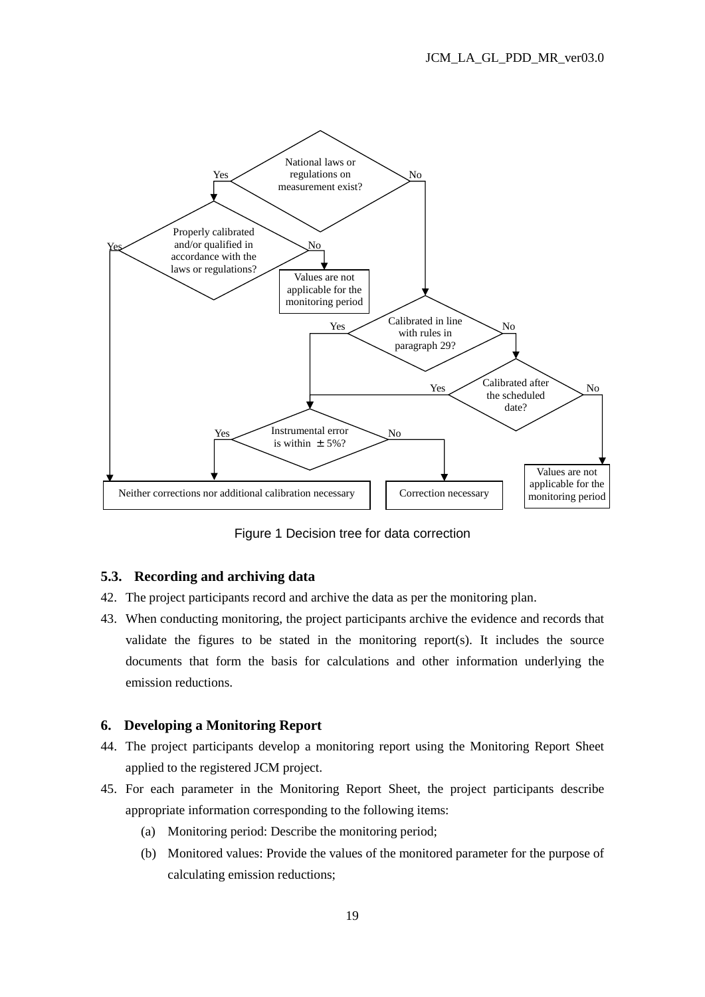

Figure 1 Decision tree for data correction

## **5.3. Recording and archiving data**

- 42. The project participants record and archive the data as per the monitoring plan.
- 43. When conducting monitoring, the project participants archive the evidence and records that validate the figures to be stated in the monitoring report(s). It includes the source documents that form the basis for calculations and other information underlying the emission reductions.

#### **6. Developing a Monitoring Report**

- 44. The project participants develop a monitoring report using the Monitoring Report Sheet applied to the registered JCM project.
- 45. For each parameter in the Monitoring Report Sheet, the project participants describe appropriate information corresponding to the following items:
	- (a) Monitoring period: Describe the monitoring period;
	- (b) Monitored values: Provide the values of the monitored parameter for the purpose of calculating emission reductions;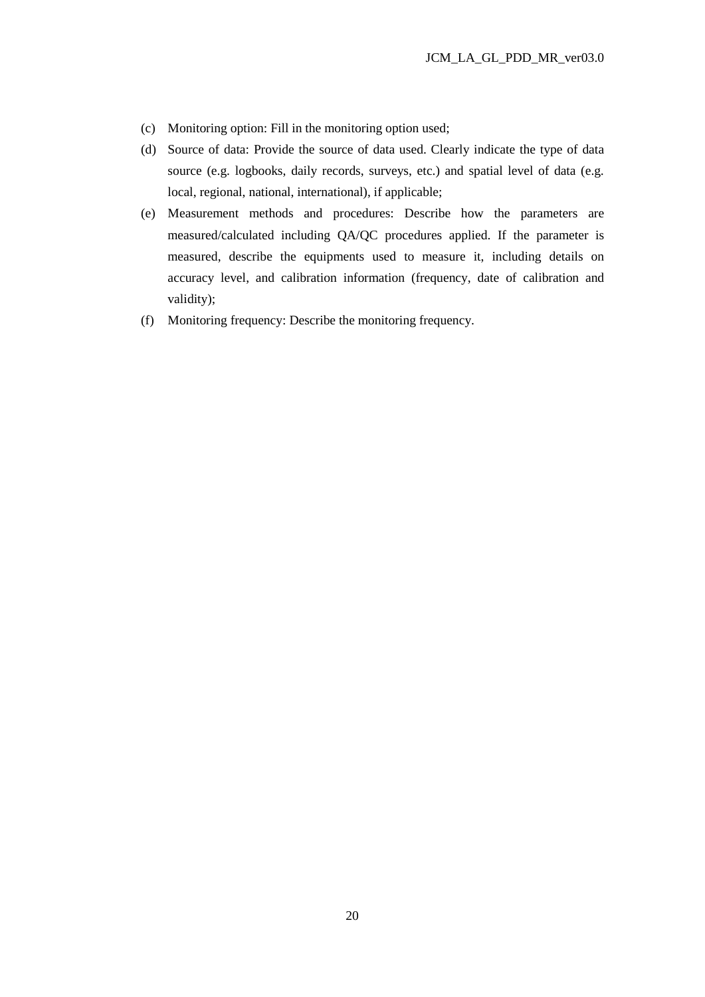- (c) Monitoring option: Fill in the monitoring option used;
- (d) Source of data: Provide the source of data used. Clearly indicate the type of data source (e.g. logbooks, daily records, surveys, etc.) and spatial level of data (e.g. local, regional, national, international), if applicable;
- (e) Measurement methods and procedures: Describe how the parameters are measured/calculated including QA/QC procedures applied. If the parameter is measured, describe the equipments used to measure it, including details on accuracy level, and calibration information (frequency, date of calibration and validity);
- (f) Monitoring frequency: Describe the monitoring frequency.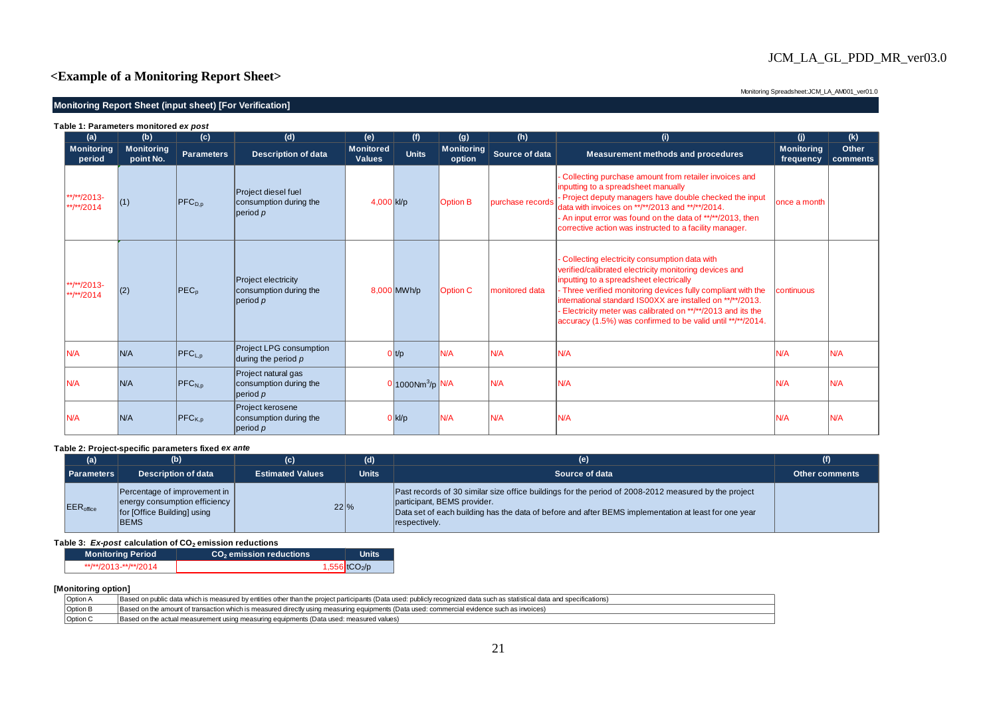# JCM\_LA\_GL\_PDD\_MR\_ver03.0

## **<Example of a Monitoring Report Sheet>**

#### **Monitoring Report Sheet (input sheet) [For Verification]**

Monitoring Spreadsheet: JCM\_LA\_AM001\_ver01.0

| Table 1: Parameters monitored ex post |                                |                         |                                                                   |                                   |                                 |                             |                  |                                                                                                                                                                                                                                                                                                                                                                                                              |                                |                   |
|---------------------------------------|--------------------------------|-------------------------|-------------------------------------------------------------------|-----------------------------------|---------------------------------|-----------------------------|------------------|--------------------------------------------------------------------------------------------------------------------------------------------------------------------------------------------------------------------------------------------------------------------------------------------------------------------------------------------------------------------------------------------------------------|--------------------------------|-------------------|
| (a)                                   | (b)                            | (c)                     | (d)                                                               | (e)                               | (f)                             | (g)                         | (h)              | (i)                                                                                                                                                                                                                                                                                                                                                                                                          | (i)                            | (k)               |
| <b>Monitoring</b><br>period           | <b>Monitoring</b><br>point No. | <b>Parameters</b>       | <b>Description of data</b>                                        | <b>Monitored</b><br><b>Values</b> | <b>Units</b>                    | <b>Monitoring</b><br>option | Source of data   | <b>Measurement methods and procedures</b>                                                                                                                                                                                                                                                                                                                                                                    | <b>Monitoring</b><br>frequency | Other<br>comments |
| **/**/2013-<br>**/**/2014             | (1)                            | $ {\sf PFC}_{\sf D.D} $ | Project diesel fuel<br>consumption during the<br> period p        | 4,000 kl/p                        |                                 | <b>Option B</b>             | purchase records | - Collecting purchase amount from retailer invoices and<br>inputting to a spreadsheet manually<br>- Project deputy managers have double checked the input<br>data with invoices on **/**/2013 and **/**/2014.<br>- An input error was found on the data of **/**/2013, then<br>corrective action was instructed to a facility manager.                                                                       | once a month                   |                   |
| **/**/2013-<br>**/**/2014             | (2)                            | $PEC_p$                 | <b>Project electricity</b><br>consumption during the<br> period p |                                   | 8,000 MWh/p                     | <b>Option C</b>             | monitored data   | Collecting electricity consumption data with<br>verified/calibrated electricity monitoring devices and<br>inputting to a spreadsheet electrically<br>- Three verified monitoring devices fully compliant with the<br>international standard IS00XX are installed on **/**/2013.<br>Electricity meter was calibrated on **/**/2013 and its the<br>accuracy (1.5%) was confirmed to be valid until **/**/2014. | continuous                     |                   |
| N/A                                   | N/A                            | $ PFC_{L,D} $           | <b>Project LPG consumption</b><br>during the period $p$           |                                   | 0 t/p                           | N/A                         | N/A              | N/A                                                                                                                                                                                                                                                                                                                                                                                                          | N/A                            | N/A               |
| N/A                                   | N/A                            | $ {\sf PFC}_{\sf N.D} $ | Project natural gas<br>consumption during the<br> period p        |                                   | $0 1000$ Nm <sup>3</sup> /p N/A |                             | N/A              | N/A                                                                                                                                                                                                                                                                                                                                                                                                          | N/A                            | N/A               |
| N/A                                   | N/A                            | $ PFC_{K,p} $           | Project kerosene<br>consumption during the<br> period p           |                                   | $0 $ kl/p                       | N/A                         | N/A              | N/A                                                                                                                                                                                                                                                                                                                                                                                                          | N/A                            | N/A               |

#### **Table 2: Project-specific parameters fixed** *ex ante*

| (a)               | (b)                                                                                                           | (c)                     | (d)             | (e)                                                                                                                                                                                                                                                          | (f)                   |
|-------------------|---------------------------------------------------------------------------------------------------------------|-------------------------|-----------------|--------------------------------------------------------------------------------------------------------------------------------------------------------------------------------------------------------------------------------------------------------------|-----------------------|
| <b>Parameters</b> | <b>Description of data</b>                                                                                    | <b>Estimated Values</b> | <b>Units</b>    | Source of data                                                                                                                                                                                                                                               | <b>Other comments</b> |
| <b>EER</b> office | Percentage of improvement in  <br>energy consumption efficiency<br>for [Office Building] using<br><b>BEMS</b> |                         | $22\frac{9}{6}$ | Past records of 30 similar size office buildings for the period of 2008-2012 measured by the project<br>participant, BEMS provider.<br>Data set of each building has the data of before and after BEMS implementation at least for one year<br>respectively. |                       |

#### **Table 3:** *Ex-post* **calculation of CO2 emission reductions**

| <b>Monitoring Period</b> | CO <sub>2</sub> emission reductions | <b>Units</b>              |
|--------------------------|-------------------------------------|---------------------------|
| **/**/2013-**/**/2014    |                                     | 1,556 tCO <sub>2</sub> /p |

#### **[Monitoring option]**

| Option A        | Based on public data which is measured by entities other than the project participants (Data used: publicly recognized data such as statistical data and specifications) |
|-----------------|--------------------------------------------------------------------------------------------------------------------------------------------------------------------------|
| Option B        | Based on the amount of transaction which is measured directly using measuring equipments (Data used: commercial evidence such as invoices)                               |
| <b>Option C</b> | Based on the actual measurement using measuring equipments (Data used: measured values)                                                                                  |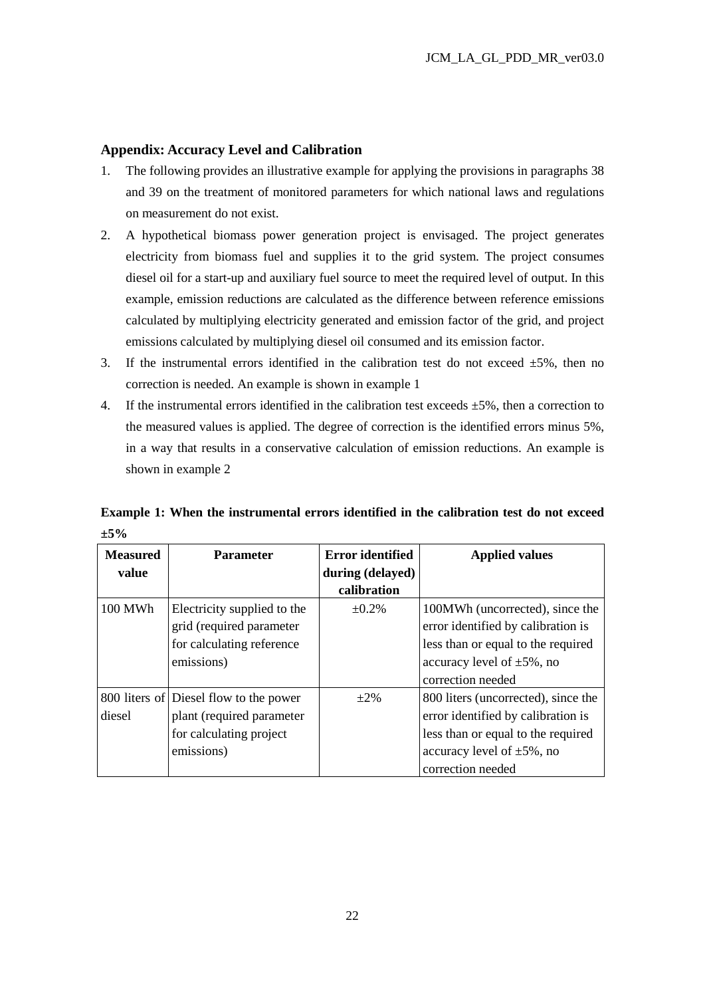#### **Appendix: Accuracy Level and Calibration**

- 1. The following provides an illustrative example for applying the provisions in paragraphs 38 and 39 on the treatment of monitored parameters for which national laws and regulations on measurement do not exist.
- 2. A hypothetical biomass power generation project is envisaged. The project generates electricity from biomass fuel and supplies it to the grid system. The project consumes diesel oil for a start-up and auxiliary fuel source to meet the required level of output. In this example, emission reductions are calculated as the difference between reference emissions calculated by multiplying electricity generated and emission factor of the grid, and project emissions calculated by multiplying diesel oil consumed and its emission factor.
- 3. If the instrumental errors identified in the calibration test do not exceed  $\pm 5\%$ , then no correction is needed. An example is shown in example 1
- 4. If the instrumental errors identified in the calibration test exceeds  $\pm 5\%$ , then a correction to the measured values is applied. The degree of correction is the identified errors minus 5%, in a way that results in a conservative calculation of emission reductions. An example is shown in example 2

**Example 1: When the instrumental errors identified in the calibration test do not exceed ±5%** 

| <b>Measured</b> | <b>Parameter</b>                       | <b>Error identified</b> | <b>Applied values</b>               |
|-----------------|----------------------------------------|-------------------------|-------------------------------------|
| value           |                                        | during (delayed)        |                                     |
|                 |                                        | calibration             |                                     |
| 100 MWh         | Electricity supplied to the            | $\pm 0.2\%$             | 100 Wh (uncorrected), since the     |
|                 | grid (required parameter               |                         | error identified by calibration is  |
|                 | for calculating reference              |                         | less than or equal to the required  |
|                 | emissions)                             |                         | accuracy level of $\pm 5\%$ , no    |
|                 |                                        |                         | correction needed                   |
|                 | 800 liters of Diesel flow to the power | $\pm 2\%$               | 800 liters (uncorrected), since the |
| diesel          | plant (required parameter              |                         | error identified by calibration is  |
|                 | for calculating project                |                         | less than or equal to the required  |
|                 | emissions)                             |                         | accuracy level of $\pm 5\%$ , no    |
|                 |                                        |                         | correction needed                   |